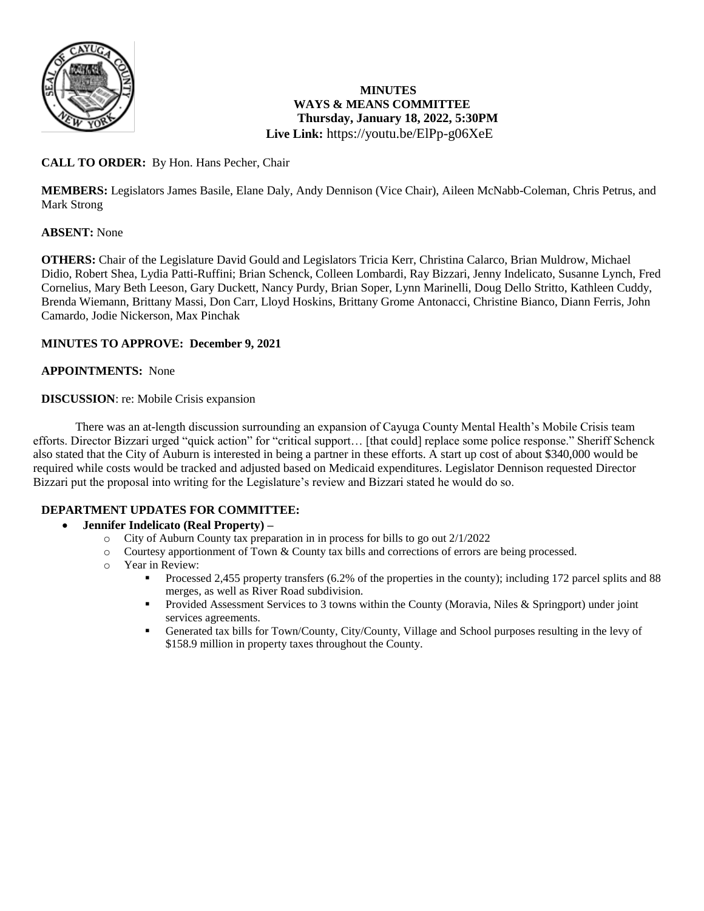

# **MINUTES WAYS & MEANS COMMITTEE Thursday, January 18, 2022, 5:30PM Live Link:** <https://youtu.be/ElPp-g06XeE>

# **CALL TO ORDER:** By Hon. Hans Pecher, Chair

**MEMBERS:** Legislators James Basile, Elane Daly, Andy Dennison (Vice Chair), Aileen McNabb-Coleman, Chris Petrus, and Mark Strong

# **ABSENT:** None

**OTHERS:** Chair of the Legislature David Gould and Legislators Tricia Kerr, Christina Calarco, Brian Muldrow, Michael Didio, Robert Shea, Lydia Patti-Ruffini; Brian Schenck, Colleen Lombardi, Ray Bizzari, Jenny Indelicato, Susanne Lynch, Fred Cornelius, Mary Beth Leeson, Gary Duckett, Nancy Purdy, Brian Soper, Lynn Marinelli, Doug Dello Stritto, Kathleen Cuddy, Brenda Wiemann, Brittany Massi, Don Carr, Lloyd Hoskins, Brittany Grome Antonacci, Christine Bianco, Diann Ferris, John Camardo, Jodie Nickerson, Max Pinchak

#### **MINUTES TO APPROVE: December 9, 2021**

#### **APPOINTMENTS:** None

#### **DISCUSSION**: re: Mobile Crisis expansion

 There was an at-length discussion surrounding an expansion of Cayuga County Mental Health's Mobile Crisis team efforts. Director Bizzari urged "quick action" for "critical support… [that could] replace some police response." Sheriff Schenck also stated that the City of Auburn is interested in being a partner in these efforts. A start up cost of about \$340,000 would be required while costs would be tracked and adjusted based on Medicaid expenditures. Legislator Dennison requested Director Bizzari put the proposal into writing for the Legislature's review and Bizzari stated he would do so.

# **DEPARTMENT UPDATES FOR COMMITTEE:**

#### **Jennifer Indelicato (Real Property) –**

- o City of Auburn County tax preparation in in process for bills to go out 2/1/2022
- o Courtesy apportionment of Town & County tax bills and corrections of errors are being processed.
- o Year in Review:
	- Processed 2,455 property transfers (6.2% of the properties in the county); including 172 parcel splits and 88 merges, as well as River Road subdivision.
	- Provided Assessment Services to 3 towns within the County (Moravia, Niles & Springport) under joint services agreements.
	- Generated tax bills for Town/County, City/County, Village and School purposes resulting in the levy of \$158.9 million in property taxes throughout the County.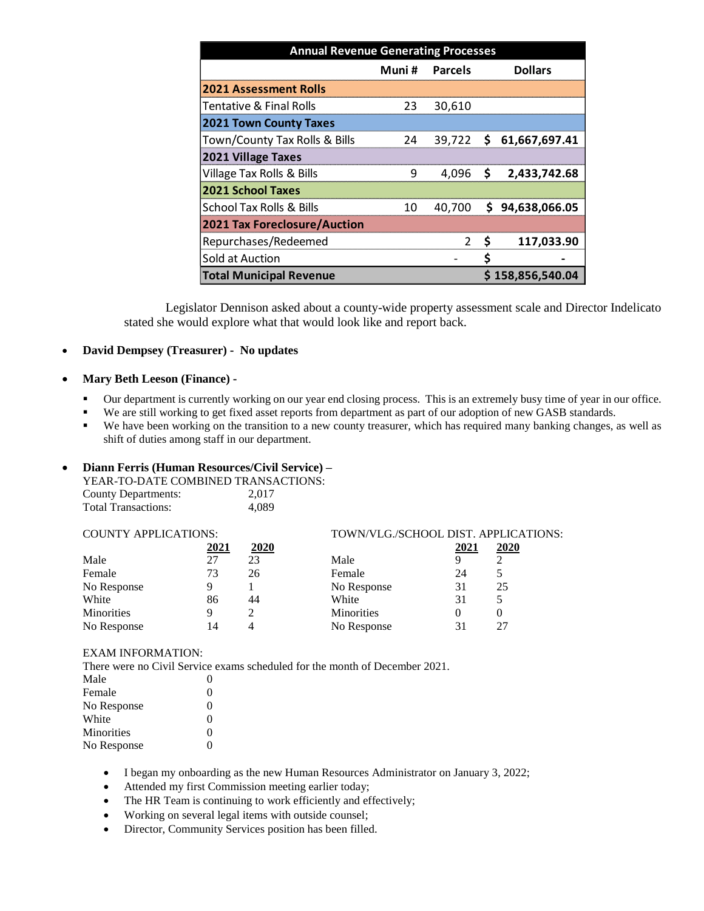| <b>Annual Revenue Generating Processes</b> |        |                |     |                         |
|--------------------------------------------|--------|----------------|-----|-------------------------|
|                                            | Muni # | <b>Parcels</b> |     | <b>Dollars</b>          |
| <b>2021 Assessment Rolls</b>               |        |                |     |                         |
| <b>Tentative &amp; Final Rolls</b>         | 23     | 30,610         |     |                         |
| <b>2021 Town County Taxes</b>              |        |                |     |                         |
| Town/County Tax Rolls & Bills              | 24     |                |     | 39,722 \$ 61,667,697.41 |
| <b>2021 Village Taxes</b>                  |        |                |     |                         |
| <b>Village Tax Rolls &amp; Bills</b>       | 9      |                |     | 4,096 \$ 2,433,742.68   |
| <b>2021 School Taxes</b>                   |        |                |     |                         |
| School Tax Rolls & Bills                   | 10     | 40,700         |     | \$94,638,066.05         |
| <b>2021 Tax Foreclosure/Auction</b>        |        |                |     |                         |
| Repurchases/Redeemed                       |        | 2              | - S | 117,033.90              |
| Sold at Auction                            |        |                | \$  |                         |
| <b>Total Municipal Revenue</b>             |        |                |     | \$158,856,540.04        |

Legislator Dennison asked about a county-wide property assessment scale and Director Indelicato stated she would explore what that would look like and report back.

## **David Dempsey (Treasurer) - No updates**

#### **Mary Beth Leeson (Finance) -**

- Our department is currently working on our year end closing process. This is an extremely busy time of year in our office.
- We are still working to get fixed asset reports from department as part of our adoption of new GASB standards.
- We have been working on the transition to a new county treasurer, which has required many banking changes, as well as shift of duties among staff in our department.

## **Diann Ferris (Human Resources/Civil Service) –**

| YEAR-TO-DATE COMBINED TRANSACTIONS: |       |
|-------------------------------------|-------|
| County Departments:                 | 2.017 |
| <b>Total Transactions:</b>          | 4.089 |

| <b>COUNTY APPLICATIONS:</b> |      |             | TOWN/VLG./SCHOOL DIST. APPLICATIONS: |      |             |
|-----------------------------|------|-------------|--------------------------------------|------|-------------|
|                             | 2021 | <u>2020</u> |                                      | 2021 | <u>2020</u> |
| Male                        | 27   | 23          | Male                                 | Q    |             |
| Female                      | 73   | 26          | Female                               | 24   |             |
| No Response                 | q    |             | No Response                          | 31   | 25          |
| White                       | 86   | 44          | White                                | 31   |             |
| <b>Minorities</b>           | q    |             | <b>Minorities</b>                    |      |             |
| No Response                 | 14   |             | No Response                          |      |             |

#### EXAM INFORMATION:

There were no Civil Service exams scheduled for the month of December 2021.

| Male        | $\Omega$ |
|-------------|----------|
| Female      | 0        |
| No Response | 0        |
| White       | 0        |
| Minorities  | 0        |
| No Response | ∩        |

- I began my onboarding as the new Human Resources Administrator on January 3, 2022;
- Attended my first Commission meeting earlier today;
- The HR Team is continuing to work efficiently and effectively;
- Working on several legal items with outside counsel;
- Director, Community Services position has been filled.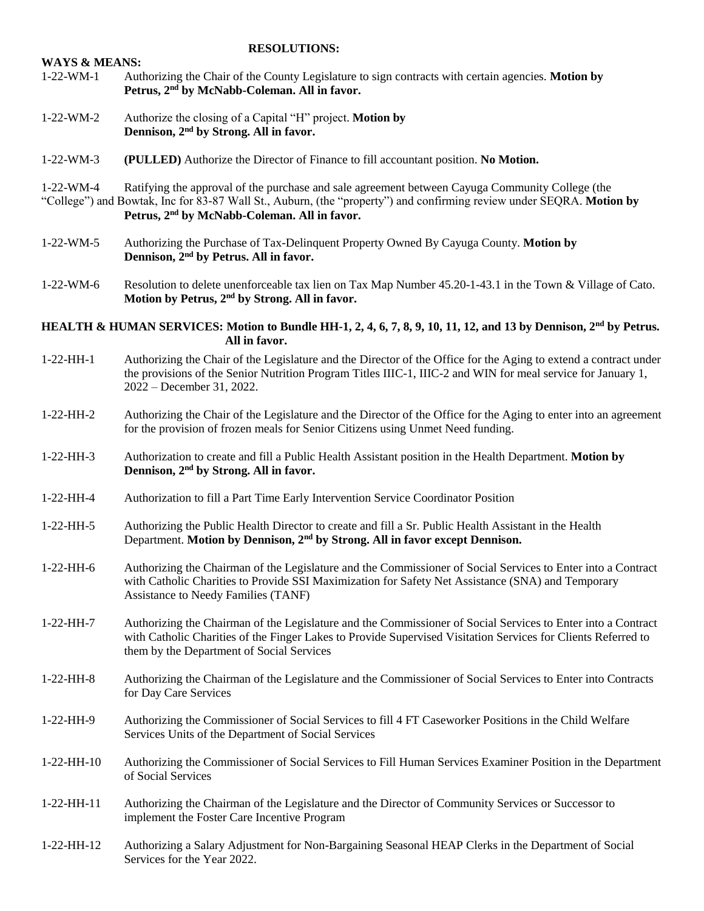#### **RESOLUTIONS:**

# **WAYS & MEANS:**  1-22-WM-1 Authorizing the Chair of the County Legislature to sign contracts with certain agencies. **Motion by Petrus, 2nd by McNabb-Coleman. All in favor.**

- 1-22-WM-2 Authorize the closing of a Capital "H" project. **Motion by Dennison, 2nd by Strong. All in favor.**
- 1-22-WM-3 **(PULLED)** Authorize the Director of Finance to fill accountant position. **No Motion.**

1-22-WM-4 Ratifying the approval of the purchase and sale agreement between Cayuga Community College (the "College") and Bowtak, Inc for 83-87 Wall St., Auburn, (the "property") and confirming review under SEQRA. **Motion by Petrus, 2nd by McNabb-Coleman. All in favor.**

- 1-22-WM-5 Authorizing the Purchase of Tax-Delinquent Property Owned By Cayuga County. **Motion by Dennison, 2nd by Petrus. All in favor.**
- 1-22-WM-6 Resolution to delete unenforceable tax lien on Tax Map Number 45.20-1-43.1 in the Town & Village of Cato. **Motion by Petrus, 2nd by Strong. All in favor.**

**HEALTH & HUMAN SERVICES: Motion to Bundle HH-1, 2, 4, 6, 7, 8, 9, 10, 11, 12, and 13 by Dennison, 2nd by Petrus. All in favor.**

- 1-22-HH-1 Authorizing the Chair of the Legislature and the Director of the Office for the Aging to extend a contract under the provisions of the Senior Nutrition Program Titles IIIC-1, IIIC-2 and WIN for meal service for January 1, 2022 – December 31, 2022.
- 1-22-HH-2 Authorizing the Chair of the Legislature and the Director of the Office for the Aging to enter into an agreement for the provision of frozen meals for Senior Citizens using Unmet Need funding.
- 1-22-HH-3 Authorization to create and fill a Public Health Assistant position in the Health Department. **Motion by Dennison, 2nd by Strong. All in favor.**
- 1-22-HH-4 Authorization to fill a Part Time Early Intervention Service Coordinator Position
- 1-22-HH-5 Authorizing the Public Health Director to create and fill a Sr. Public Health Assistant in the Health Department. **Motion by Dennison, 2nd by Strong. All in favor except Dennison.**
- 1-22-HH-6 Authorizing the Chairman of the Legislature and the Commissioner of Social Services to Enter into a Contract with Catholic Charities to Provide SSI Maximization for Safety Net Assistance (SNA) and Temporary Assistance to Needy Families (TANF)
- 1-22-HH-7 Authorizing the Chairman of the Legislature and the Commissioner of Social Services to Enter into a Contract with Catholic Charities of the Finger Lakes to Provide Supervised Visitation Services for Clients Referred to them by the Department of Social Services
- 1-22-HH-8 Authorizing the Chairman of the Legislature and the Commissioner of Social Services to Enter into Contracts for Day Care Services
- 1-22-HH-9 Authorizing the Commissioner of Social Services to fill 4 FT Caseworker Positions in the Child Welfare Services Units of the Department of Social Services
- 1-22-HH-10 Authorizing the Commissioner of Social Services to Fill Human Services Examiner Position in the Department of Social Services
- 1-22-HH-11 Authorizing the Chairman of the Legislature and the Director of Community Services or Successor to implement the Foster Care Incentive Program
- 1-22-HH-12 Authorizing a Salary Adjustment for Non-Bargaining Seasonal HEAP Clerks in the Department of Social Services for the Year 2022.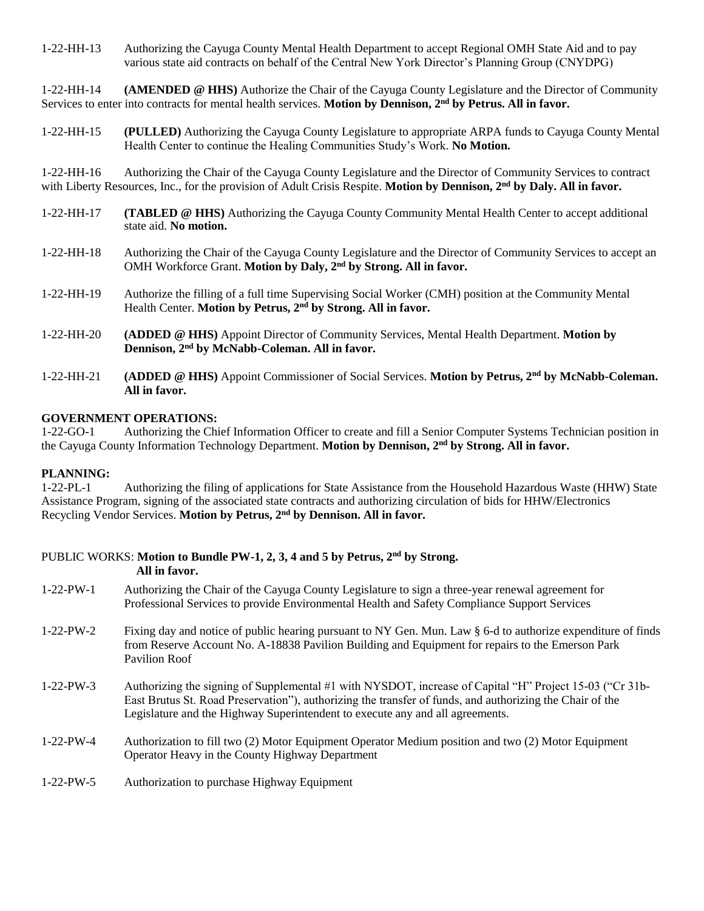1-22-HH-13 Authorizing the Cayuga County Mental Health Department to accept Regional OMH State Aid and to pay various state aid contracts on behalf of the Central New York Director's Planning Group (CNYDPG)

1-22-HH-14 **(AMENDED @ HHS)** Authorize the Chair of the Cayuga County Legislature and the Director of Community Services to enter into contracts for mental health services. **Motion by Dennison, 2nd by Petrus. All in favor.**

1-22-HH-15 **(PULLED)** Authorizing the Cayuga County Legislature to appropriate ARPA funds to Cayuga County Mental Health Center to continue the Healing Communities Study's Work. **No Motion.**

1-22-HH-16 Authorizing the Chair of the Cayuga County Legislature and the Director of Community Services to contract with Liberty Resources, Inc., for the provision of Adult Crisis Respite. **Motion by Dennison, 2nd by Daly. All in favor.**

- 1-22-HH-17 **(TABLED @ HHS)** Authorizing the Cayuga County Community Mental Health Center to accept additional state aid. **No motion.**
- 1-22-HH-18 Authorizing the Chair of the Cayuga County Legislature and the Director of Community Services to accept an OMH Workforce Grant. **Motion by Daly, 2nd by Strong. All in favor.**
- 1-22-HH-19 Authorize the filling of a full time Supervising Social Worker (CMH) position at the Community Mental Health Center. **Motion by Petrus, 2nd by Strong. All in favor.**
- 1-22-HH-20 **(ADDED @ HHS)** Appoint Director of Community Services, Mental Health Department. **Motion by Dennison, 2nd by McNabb-Coleman. All in favor.**
- 1-22-HH-21 **(ADDED @ HHS)** Appoint Commissioner of Social Services. **Motion by Petrus, 2nd by McNabb-Coleman. All in favor.**

# **GOVERNMENT OPERATIONS:**

1-22-GO-1 Authorizing the Chief Information Officer to create and fill a Senior Computer Systems Technician position in the Cayuga County Information Technology Department. **Motion by Dennison, 2nd by Strong. All in favor.**

#### **PLANNING:**

1-22-PL-1 Authorizing the filing of applications for State Assistance from the Household Hazardous Waste (HHW) State Assistance Program, signing of the associated state contracts and authorizing circulation of bids for HHW/Electronics Recycling Vendor Services. **Motion by Petrus, 2nd by Dennison. All in favor.**

|                   | PUBLIC WORKS: Motion to Bundle PW-1, 2, 3, 4 and 5 by Petrus, 2 <sup>nd</sup> by Strong.<br>All in favor.                                                                                                                                                                                            |
|-------------------|------------------------------------------------------------------------------------------------------------------------------------------------------------------------------------------------------------------------------------------------------------------------------------------------------|
| $1-22-PW-1$       | Authorizing the Chair of the Cayuga County Legislature to sign a three-year renewal agreement for<br>Professional Services to provide Environmental Health and Safety Compliance Support Services                                                                                                    |
| $1-22-PW-2$       | Fixing day and notice of public hearing pursuant to NY Gen. Mun. Law § 6-d to authorize expenditure of finds<br>from Reserve Account No. A-18838 Pavilion Building and Equipment for repairs to the Emerson Park<br>Pavilion Roof                                                                    |
| $1-22-PW-3$       | Authorizing the signing of Supplemental #1 with NYSDOT, increase of Capital "H" Project 15-03 ("Cr 31b-<br>East Brutus St. Road Preservation"), authorizing the transfer of funds, and authorizing the Chair of the<br>Legislature and the Highway Superintendent to execute any and all agreements. |
| $1-22-PW-4$       | Authorization to fill two (2) Motor Equipment Operator Medium position and two (2) Motor Equipment<br>Operator Heavy in the County Highway Department                                                                                                                                                |
| $1 - 22 - PW - 5$ | Authorization to purchase Highway Equipment                                                                                                                                                                                                                                                          |